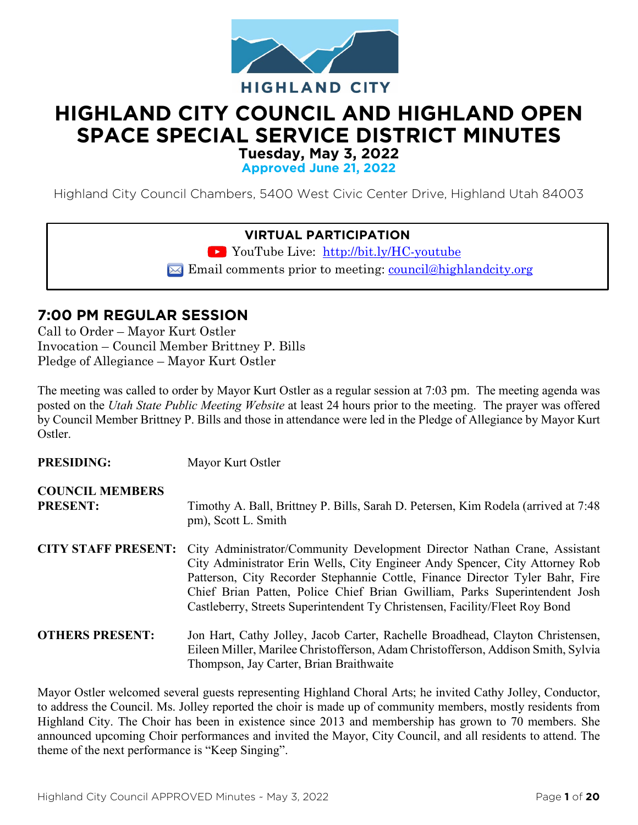

# **HIGHLAND CITY COUNCIL AND HIGHLAND OPEN SPACE SPECIAL SERVICE DISTRICT MINUTES**

**Tuesday, May 3, 2022**

**Approved June 21, 2022**

Highland City Council Chambers, 5400 West Civic Center Drive, Highland Utah 84003

## **VIRTUAL PARTICIPATION**

YouTube Live: <http://bit.ly/HC-youtube>

 $\blacktriangleright$  Email comments prior to meeting: [council@highlandcity.org](mailto:council@highlandcity.org)

## **7:00 PM REGULAR SESSION**

Call to Order – Mayor Kurt Ostler Invocation – Council Member Brittney P. Bills Pledge of Allegiance – Mayor Kurt Ostler

**PRESIDING:** Mayor Kurt Ostler

The meeting was called to order by Mayor Kurt Ostler as a regular session at 7:03 pm. The meeting agenda was posted on the *Utah State Public Meeting Website* at least 24 hours prior to the meeting. The prayer was offered by Council Member Brittney P. Bills and those in attendance were led in the Pledge of Allegiance by Mayor Kurt Ostler.

| TREDIDING.                                | <b>IVIAYUI IXAII OBUU</b>                                                                                                                                                                                                                                                                                                                                                                                                          |
|-------------------------------------------|------------------------------------------------------------------------------------------------------------------------------------------------------------------------------------------------------------------------------------------------------------------------------------------------------------------------------------------------------------------------------------------------------------------------------------|
| <b>COUNCIL MEMBERS</b><br><b>PRESENT:</b> | Timothy A. Ball, Brittney P. Bills, Sarah D. Petersen, Kim Rodela (arrived at 7:48)<br>pm), Scott L. Smith                                                                                                                                                                                                                                                                                                                         |
|                                           | <b>CITY STAFF PRESENT:</b> City Administrator/Community Development Director Nathan Crane, Assistant<br>City Administrator Erin Wells, City Engineer Andy Spencer, City Attorney Rob<br>Patterson, City Recorder Stephannie Cottle, Finance Director Tyler Bahr, Fire<br>Chief Brian Patten, Police Chief Brian Gwilliam, Parks Superintendent Josh<br>Castleberry, Streets Superintendent Ty Christensen, Facility/Fleet Roy Bond |
| <b>OTHERS PRESENT:</b>                    | Jon Hart, Cathy Jolley, Jacob Carter, Rachelle Broadhead, Clayton Christensen,<br>Eileen Miller, Marilee Christofferson, Adam Christofferson, Addison Smith, Sylvia<br>Thompson, Jay Carter, Brian Braithwaite                                                                                                                                                                                                                     |

Mayor Ostler welcomed several guests representing Highland Choral Arts; he invited Cathy Jolley, Conductor, to address the Council. Ms. Jolley reported the choir is made up of community members, mostly residents from Highland City. The Choir has been in existence since 2013 and membership has grown to 70 members. She announced upcoming Choir performances and invited the Mayor, City Council, and all residents to attend. The theme of the next performance is "Keep Singing".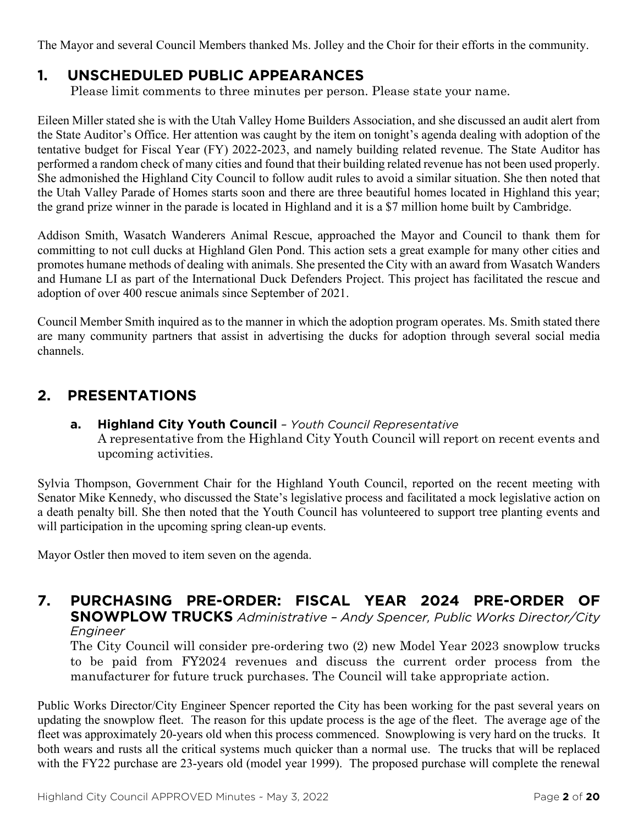The Mayor and several Council Members thanked Ms. Jolley and the Choir for their efforts in the community.

# **1. UNSCHEDULED PUBLIC APPEARANCES**

Please limit comments to three minutes per person. Please state your name.

Eileen Miller stated she is with the Utah Valley Home Builders Association, and she discussed an audit alert from the State Auditor's Office. Her attention was caught by the item on tonight's agenda dealing with adoption of the tentative budget for Fiscal Year (FY) 2022-2023, and namely building related revenue. The State Auditor has performed a random check of many cities and found that their building related revenue has not been used properly. She admonished the Highland City Council to follow audit rules to avoid a similar situation. She then noted that the Utah Valley Parade of Homes starts soon and there are three beautiful homes located in Highland this year; the grand prize winner in the parade is located in Highland and it is a \$7 million home built by Cambridge.

Addison Smith, Wasatch Wanderers Animal Rescue, approached the Mayor and Council to thank them for committing to not cull ducks at Highland Glen Pond. This action sets a great example for many other cities and promotes humane methods of dealing with animals. She presented the City with an award from Wasatch Wanders and Humane LI as part of the International Duck Defenders Project. This project has facilitated the rescue and adoption of over 400 rescue animals since September of 2021.

Council Member Smith inquired as to the manner in which the adoption program operates. Ms. Smith stated there are many community partners that assist in advertising the ducks for adoption through several social media channels.

# **2. PRESENTATIONS**

**a. Highland City Youth Council** *– Youth Council Representative* A representative from the Highland City Youth Council will report on recent events and upcoming activities.

Sylvia Thompson, Government Chair for the Highland Youth Council, reported on the recent meeting with Senator Mike Kennedy, who discussed the State's legislative process and facilitated a mock legislative action on a death penalty bill. She then noted that the Youth Council has volunteered to support tree planting events and will participation in the upcoming spring clean-up events.

Mayor Ostler then moved to item seven on the agenda.

## **7. PURCHASING PRE-ORDER: FISCAL YEAR 2024 PRE-ORDER OF SNOWPLOW TRUCKS** *Administrative – Andy Spencer, Public Works Director/City Engineer*

The City Council will consider pre-ordering two (2) new Model Year 2023 snowplow trucks to be paid from FY2024 revenues and discuss the current order process from the manufacturer for future truck purchases. The Council will take appropriate action.

Public Works Director/City Engineer Spencer reported the City has been working for the past several years on updating the snowplow fleet. The reason for this update process is the age of the fleet. The average age of the fleet was approximately 20-years old when this process commenced. Snowplowing is very hard on the trucks. It both wears and rusts all the critical systems much quicker than a normal use. The trucks that will be replaced with the FY22 purchase are 23-years old (model year 1999). The proposed purchase will complete the renewal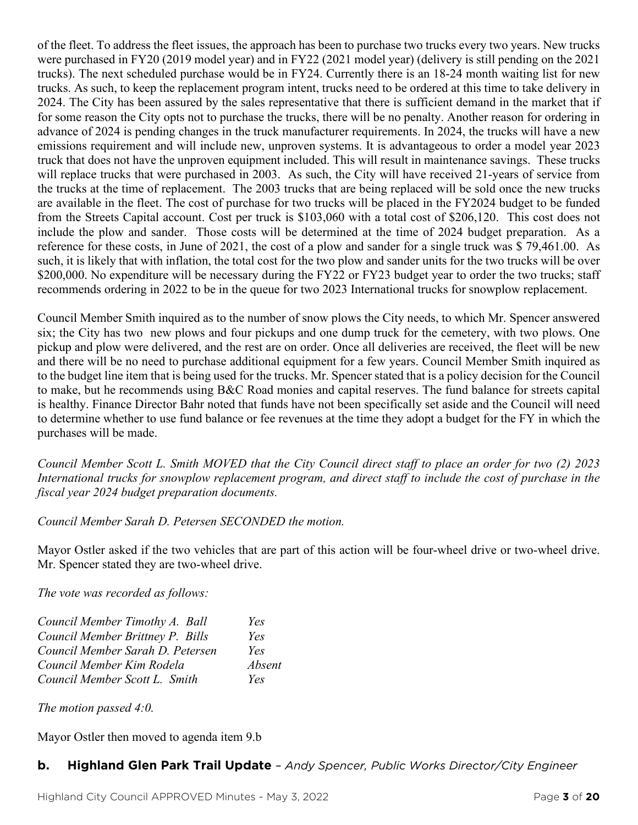of the fleet. To address the fleet issues, the approach has been to purchase two trucks every two years. New trucks were purchased in FY20 (2019 model year) and in FY22 (2021 model year) (delivery is still pending on the 2021 trucks). The next scheduled purchase would be in FY24. Currently there is an 18-24 month waiting list for new trucks. As such, to keep the replacement program intent, trucks need to be ordered at this time to take delivery in 2024. The City has been assured by the sales representative that there is sufficient demand in the market that if for some reason the City opts not to purchase the trucks, there will be no penalty. Another reason for ordering in advance of 2024 is pending changes in the truck manufacturer requirements. In 2024, the trucks will have a new emissions requirement and will include new, unproven systems. It is advantageous to order a model year 2023 truck that does not have the unproven equipment included. This will result in maintenance savings. These trucks will replace trucks that were purchased in 2003. As such, the City will have received 21-years of service from the trucks at the time of replacement. The 2003 trucks that are being replaced will be sold once the new trucks are available in the fleet. The cost of purchase for two trucks will be placed in the FY2024 budget to be funded from the Streets Capital account. Cost per truck is \$103,060 with a total cost of \$206,120. This cost does not include the plow and sander. Those costs will be determined at the time of 2024 budget preparation. As a reference for these costs, in June of 2021, the cost of a plow and sander for a single truck was \$ 79,461.00. As such, it is likely that with inflation, the total cost for the two plow and sander units for the two trucks will be over \$200,000. No expenditure will be necessary during the FY22 or FY23 budget year to order the two trucks; staff recommends ordering in 2022 to be in the queue for two 2023 International trucks for snowplow replacement.

Council Member Smith inquired as to the number of snow plows the City needs, to which Mr. Spencer answered six; the City has two new plows and four pickups and one dump truck for the cemetery, with two plows. One pickup and plow were delivered, and the rest are on order. Once all deliveries are received, the fleet will be new and there will be no need to purchase additional equipment for a few years. Council Member Smith inquired as to the budget line item that is being used for the trucks. Mr. Spencer stated that is a policy decision for the Council to make, but he recommends using B&C Road monies and capital reserves. The fund balance for streets capital is healthy. Finance Director Bahr noted that funds have not been specifically set aside and the Council will need to determine whether to use fund balance or fee revenues at the time they adopt a budget for the FY in which the purchases will be made.

*Council Member Scott L. Smith MOVED that the City Council direct staff to place an order for two (2) 2023 International trucks for snowplow replacement program, and direct staff to include the cost of purchase in the fiscal year 2024 budget preparation documents.* 

*Council Member Sarah D. Petersen SECONDED the motion.*

Mayor Ostler asked if the two vehicles that are part of this action will be four-wheel drive or two-wheel drive. Mr. Spencer stated they are two-wheel drive.

*The vote was recorded as follows:*

| Council Member Timothy A. Ball   | Yes    |
|----------------------------------|--------|
| Council Member Brittney P. Bills | Yes    |
| Council Member Sarah D. Petersen | Yes    |
| Council Member Kim Rodela        | Absent |
| Council Member Scott L. Smith    | Yes    |

*The motion passed 4:0.*

Mayor Ostler then moved to agenda item 9.b

# **b. Highland Glen Park Trail Update** *– Andy Spencer, Public Works Director/City Engineer*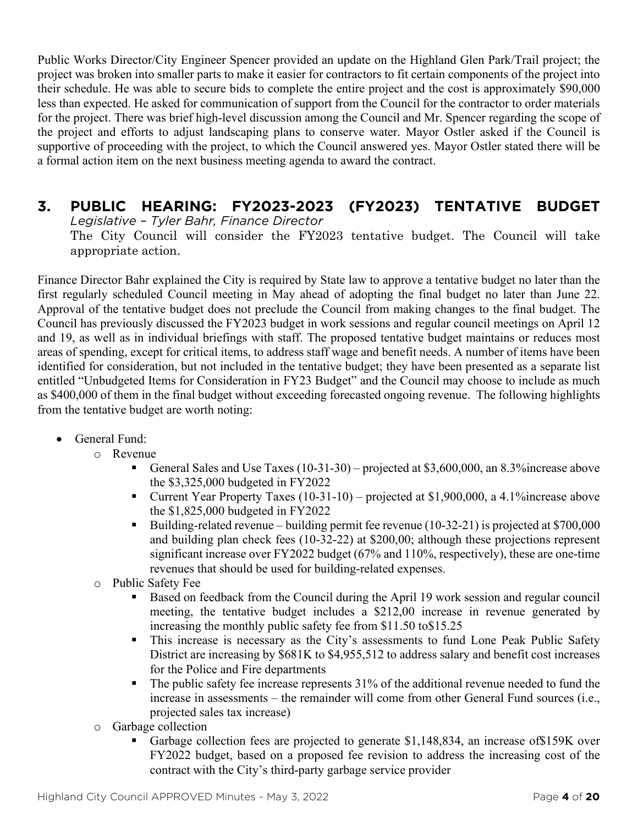Public Works Director/City Engineer Spencer provided an update on the Highland Glen Park/Trail project; the project was broken into smaller parts to make it easier for contractors to fit certain components of the project into their schedule. He was able to secure bids to complete the entire project and the cost is approximately \$90,000 less than expected. He asked for communication of support from the Council for the contractor to order materials for the project. There was brief high-level discussion among the Council and Mr. Spencer regarding the scope of the project and efforts to adjust landscaping plans to conserve water. Mayor Ostler asked if the Council is supportive of proceeding with the project, to which the Council answered yes. Mayor Ostler stated there will be a formal action item on the next business meeting agenda to award the contract.

## **3. PUBLIC HEARING: FY2023-2023 (FY2023) TENTATIVE BUDGET** *Legislative – Tyler Bahr, Finance Director* The City Council will consider the FY2023 tentative budget. The Council will take appropriate action.

Finance Director Bahr explained the City is required by State law to approve a tentative budget no later than the first regularly scheduled Council meeting in May ahead of adopting the final budget no later than June 22. Approval of the tentative budget does not preclude the Council from making changes to the final budget. The Council has previously discussed the FY2023 budget in work sessions and regular council meetings on April 12 and 19, as well as in individual briefings with staff. The proposed tentative budget maintains or reduces most areas of spending, except for critical items, to address staff wage and benefit needs. A number of items have been identified for consideration, but not included in the tentative budget; they have been presented as a separate list entitled "Unbudgeted Items for Consideration in FY23 Budget" and the Council may choose to include as much as \$400,000 of them in the final budget without exceeding forecasted ongoing revenue. The following highlights from the tentative budget are worth noting:

- General Fund:
	- o Revenue
		- General Sales and Use Taxes (10-31-30) projected at \$3,600,000, an 8.3%increase above the \$3,325,000 budgeted in FY2022
		- Current Year Property Taxes (10-31-10) projected at \$1,900,000, a 4.1% increase above the \$1,825,000 budgeted in FY2022
		- Building-related revenue building permit fee revenue (10-32-21) is projected at \$700,000 and building plan check fees (10-32-22) at \$200,00; although these projections represent significant increase over FY2022 budget (67% and 110%, respectively), these are one-time revenues that should be used for building-related expenses.
	- o Public Safety Fee
		- Based on feedback from the Council during the April 19 work session and regular council meeting, the tentative budget includes a \$212,00 increase in revenue generated by increasing the monthly public safety fee from \$11.50 to\$15.25
		- This increase is necessary as the City's assessments to fund Lone Peak Public Safety District are increasing by \$681K to \$4,955,512 to address salary and benefit cost increases for the Police and Fire departments
		- $\blacksquare$  The public safety fee increase represents 31% of the additional revenue needed to fund the increase in assessments – the remainder will come from other General Fund sources (i.e., projected sales tax increase)
	- o Garbage collection
		- Garbage collection fees are projected to generate \$1,148,834, an increase of \$159K over FY2022 budget, based on a proposed fee revision to address the increasing cost of the contract with the City's third-party garbage service provider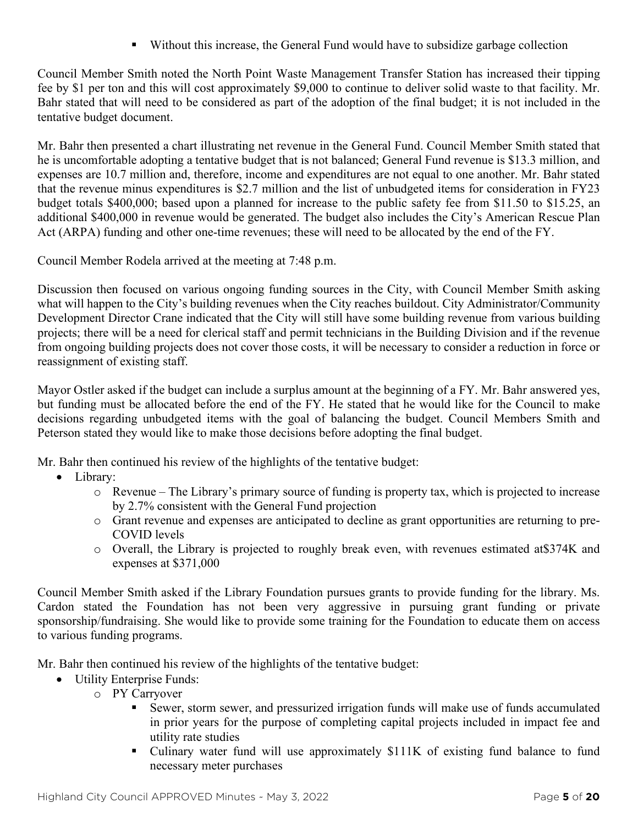Without this increase, the General Fund would have to subsidize garbage collection

Council Member Smith noted the North Point Waste Management Transfer Station has increased their tipping fee by \$1 per ton and this will cost approximately \$9,000 to continue to deliver solid waste to that facility. Mr. Bahr stated that will need to be considered as part of the adoption of the final budget; it is not included in the tentative budget document.

Mr. Bahr then presented a chart illustrating net revenue in the General Fund. Council Member Smith stated that he is uncomfortable adopting a tentative budget that is not balanced; General Fund revenue is \$13.3 million, and expenses are 10.7 million and, therefore, income and expenditures are not equal to one another. Mr. Bahr stated that the revenue minus expenditures is \$2.7 million and the list of unbudgeted items for consideration in FY23 budget totals \$400,000; based upon a planned for increase to the public safety fee from \$11.50 to \$15.25, an additional \$400,000 in revenue would be generated. The budget also includes the City's American Rescue Plan Act (ARPA) funding and other one-time revenues; these will need to be allocated by the end of the FY.

Council Member Rodela arrived at the meeting at 7:48 p.m.

Discussion then focused on various ongoing funding sources in the City, with Council Member Smith asking what will happen to the City's building revenues when the City reaches buildout. City Administrator/Community Development Director Crane indicated that the City will still have some building revenue from various building projects; there will be a need for clerical staff and permit technicians in the Building Division and if the revenue from ongoing building projects does not cover those costs, it will be necessary to consider a reduction in force or reassignment of existing staff.

Mayor Ostler asked if the budget can include a surplus amount at the beginning of a FY. Mr. Bahr answered yes, but funding must be allocated before the end of the FY. He stated that he would like for the Council to make decisions regarding unbudgeted items with the goal of balancing the budget. Council Members Smith and Peterson stated they would like to make those decisions before adopting the final budget.

Mr. Bahr then continued his review of the highlights of the tentative budget:

- Library:
	- o Revenue The Library's primary source of funding is property tax, which is projected to increase by 2.7% consistent with the General Fund projection
	- o Grant revenue and expenses are anticipated to decline as grant opportunities are returning to pre-COVID levels
	- o Overall, the Library is projected to roughly break even, with revenues estimated at\$374K and expenses at \$371,000

Council Member Smith asked if the Library Foundation pursues grants to provide funding for the library. Ms. Cardon stated the Foundation has not been very aggressive in pursuing grant funding or private sponsorship/fundraising. She would like to provide some training for the Foundation to educate them on access to various funding programs.

Mr. Bahr then continued his review of the highlights of the tentative budget:

- Utility Enterprise Funds:
	- o PY Carryover
		- Sewer, storm sewer, and pressurized irrigation funds will make use of funds accumulated in prior years for the purpose of completing capital projects included in impact fee and utility rate studies
		- Culinary water fund will use approximately \$111K of existing fund balance to fund necessary meter purchases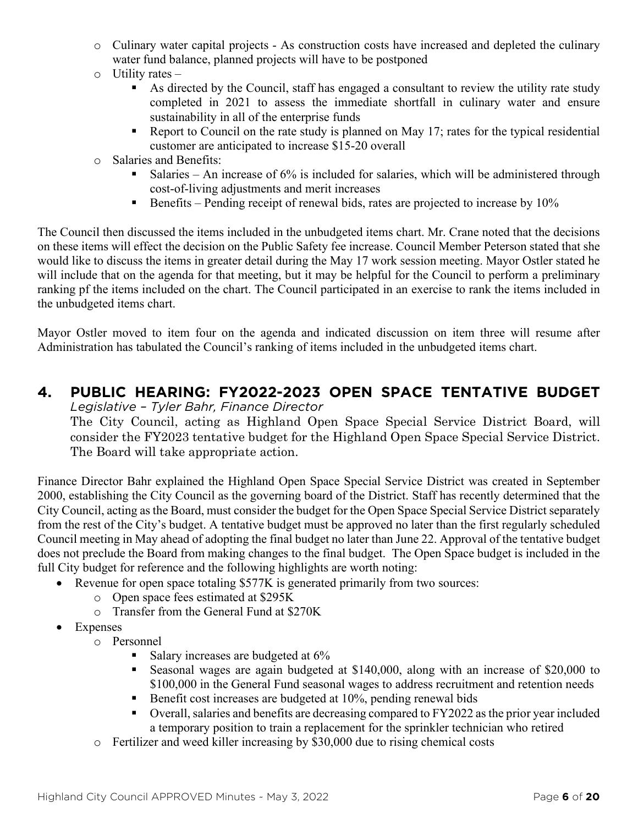- o Culinary water capital projects As construction costs have increased and depleted the culinary water fund balance, planned projects will have to be postponed
- $\circ$  Utility rates
	- As directed by the Council, staff has engaged a consultant to review the utility rate study completed in 2021 to assess the immediate shortfall in culinary water and ensure sustainability in all of the enterprise funds
	- Report to Council on the rate study is planned on May 17; rates for the typical residential customer are anticipated to increase \$15-20 overall
- o Salaries and Benefits:
	- Salaries An increase of  $6\%$  is included for salaries, which will be administered through cost-of-living adjustments and merit increases
	- Benefits Pending receipt of renewal bids, rates are projected to increase by  $10\%$

The Council then discussed the items included in the unbudgeted items chart. Mr. Crane noted that the decisions on these items will effect the decision on the Public Safety fee increase. Council Member Peterson stated that she would like to discuss the items in greater detail during the May 17 work session meeting. Mayor Ostler stated he will include that on the agenda for that meeting, but it may be helpful for the Council to perform a preliminary ranking pf the items included on the chart. The Council participated in an exercise to rank the items included in the unbudgeted items chart.

Mayor Ostler moved to item four on the agenda and indicated discussion on item three will resume after Administration has tabulated the Council's ranking of items included in the unbudgeted items chart.

#### **4. PUBLIC HEARING: FY2022-2023 OPEN SPACE TENTATIVE BUDGET** *Legislative – Tyler Bahr, Finance Director*

The City Council, acting as Highland Open Space Special Service District Board, will consider the FY2023 tentative budget for the Highland Open Space Special Service District. The Board will take appropriate action.

Finance Director Bahr explained the Highland Open Space Special Service District was created in September 2000, establishing the City Council as the governing board of the District. Staff has recently determined that the City Council, acting as the Board, must consider the budget for the Open Space Special Service District separately from the rest of the City's budget. A tentative budget must be approved no later than the first regularly scheduled Council meeting in May ahead of adopting the final budget no later than June 22. Approval of the tentative budget does not preclude the Board from making changes to the final budget. The Open Space budget is included in the full City budget for reference and the following highlights are worth noting:

- Revenue for open space totaling \$577K is generated primarily from two sources:
	- o Open space fees estimated at \$295K
	- o Transfer from the General Fund at \$270K
- Expenses
	- o Personnel
		- Salary increases are budgeted at 6%
		- Seasonal wages are again budgeted at \$140,000, along with an increase of \$20,000 to \$100,000 in the General Fund seasonal wages to address recruitment and retention needs
		- Benefit cost increases are budgeted at 10%, pending renewal bids
		- Overall, salaries and benefits are decreasing compared to FY2022 as the prior year included a temporary position to train a replacement for the sprinkler technician who retired
	- o Fertilizer and weed killer increasing by \$30,000 due to rising chemical costs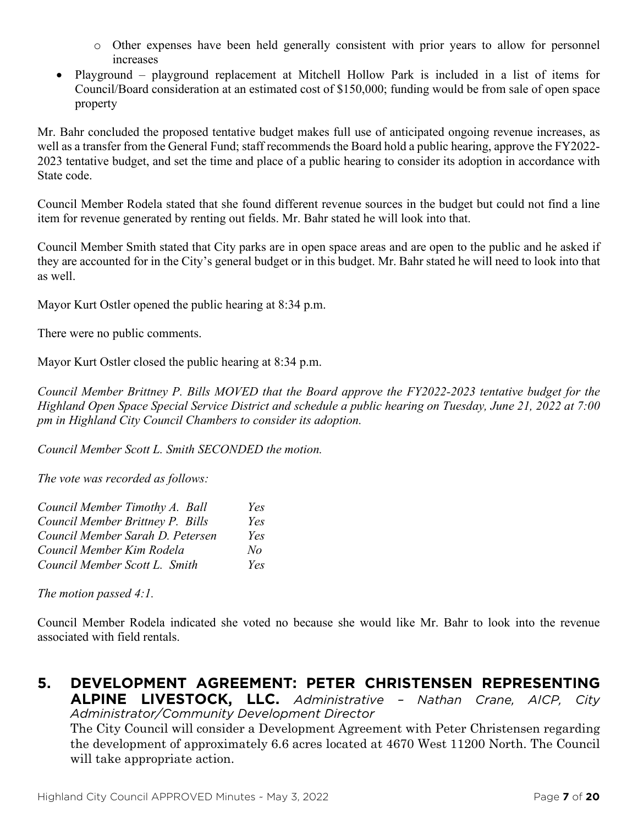- o Other expenses have been held generally consistent with prior years to allow for personnel increases
- Playground playground replacement at Mitchell Hollow Park is included in a list of items for Council/Board consideration at an estimated cost of \$150,000; funding would be from sale of open space property

Mr. Bahr concluded the proposed tentative budget makes full use of anticipated ongoing revenue increases, as well as a transfer from the General Fund; staff recommends the Board hold a public hearing, approve the FY2022- 2023 tentative budget, and set the time and place of a public hearing to consider its adoption in accordance with State code.

Council Member Rodela stated that she found different revenue sources in the budget but could not find a line item for revenue generated by renting out fields. Mr. Bahr stated he will look into that.

Council Member Smith stated that City parks are in open space areas and are open to the public and he asked if they are accounted for in the City's general budget or in this budget. Mr. Bahr stated he will need to look into that as well.

Mayor Kurt Ostler opened the public hearing at 8:34 p.m.

There were no public comments.

Mayor Kurt Ostler closed the public hearing at 8:34 p.m.

*Council Member Brittney P. Bills MOVED that the Board approve the FY2022-2023 tentative budget for the Highland Open Space Special Service District and schedule a public hearing on Tuesday, June 21, 2022 at 7:00 pm in Highland City Council Chambers to consider its adoption.*

*Council Member Scott L. Smith SECONDED the motion.*

*The vote was recorded as follows:*

| Council Member Timothy A. Ball   | Yes |
|----------------------------------|-----|
| Council Member Brittney P. Bills | Yes |
| Council Member Sarah D. Petersen | Yes |
| Council Member Kim Rodela        | No  |
| Council Member Scott L. Smith    | Yes |

*The motion passed 4:1.*

Council Member Rodela indicated she voted no because she would like Mr. Bahr to look into the revenue associated with field rentals.

#### **5. DEVELOPMENT AGREEMENT: PETER CHRISTENSEN REPRESENTING ALPINE LIVESTOCK, LLC.** *Administrative – Nathan Crane, AICP, City Administrator/Community Development Director* The City Council will consider a Development Agreement with Peter Christensen regarding the development of approximately 6.6 acres located at 4670 West 11200 North. The Council will take appropriate action.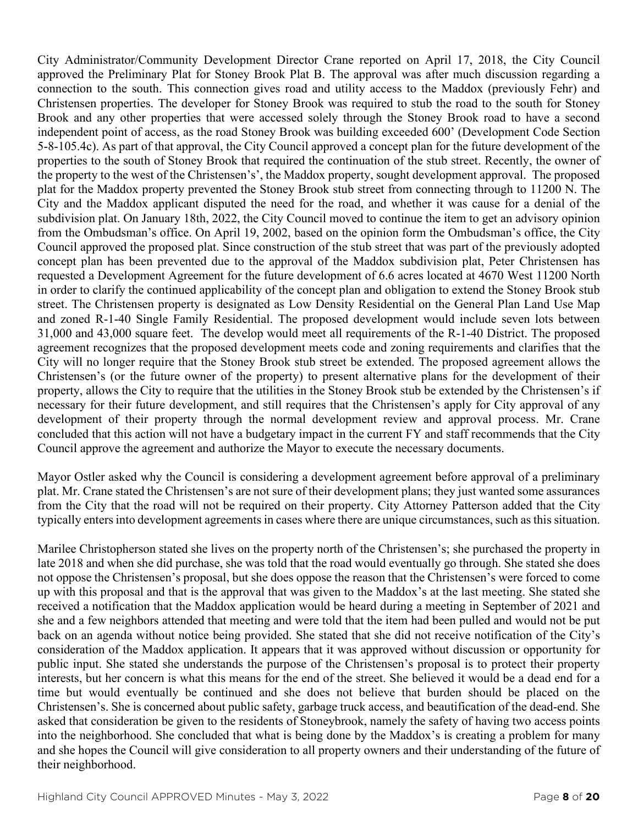City Administrator/Community Development Director Crane reported on April 17, 2018, the City Council approved the Preliminary Plat for Stoney Brook Plat B. The approval was after much discussion regarding a connection to the south. This connection gives road and utility access to the Maddox (previously Fehr) and Christensen properties. The developer for Stoney Brook was required to stub the road to the south for Stoney Brook and any other properties that were accessed solely through the Stoney Brook road to have a second independent point of access, as the road Stoney Brook was building exceeded 600' (Development Code Section 5-8-105.4c). As part of that approval, the City Council approved a concept plan for the future development of the properties to the south of Stoney Brook that required the continuation of the stub street. Recently, the owner of the property to the west of the Christensen's', the Maddox property, sought development approval. The proposed plat for the Maddox property prevented the Stoney Brook stub street from connecting through to 11200 N. The City and the Maddox applicant disputed the need for the road, and whether it was cause for a denial of the subdivision plat. On January 18th, 2022, the City Council moved to continue the item to get an advisory opinion from the Ombudsman's office. On April 19, 2002, based on the opinion form the Ombudsman's office, the City Council approved the proposed plat. Since construction of the stub street that was part of the previously adopted concept plan has been prevented due to the approval of the Maddox subdivision plat, Peter Christensen has requested a Development Agreement for the future development of 6.6 acres located at 4670 West 11200 North in order to clarify the continued applicability of the concept plan and obligation to extend the Stoney Brook stub street. The Christensen property is designated as Low Density Residential on the General Plan Land Use Map and zoned R-1-40 Single Family Residential. The proposed development would include seven lots between 31,000 and 43,000 square feet. The develop would meet all requirements of the R-1-40 District. The proposed agreement recognizes that the proposed development meets code and zoning requirements and clarifies that the City will no longer require that the Stoney Brook stub street be extended. The proposed agreement allows the Christensen's (or the future owner of the property) to present alternative plans for the development of their property, allows the City to require that the utilities in the Stoney Brook stub be extended by the Christensen's if necessary for their future development, and still requires that the Christensen's apply for City approval of any development of their property through the normal development review and approval process. Mr. Crane concluded that this action will not have a budgetary impact in the current FY and staff recommends that the City Council approve the agreement and authorize the Mayor to execute the necessary documents.

Mayor Ostler asked why the Council is considering a development agreement before approval of a preliminary plat. Mr. Crane stated the Christensen's are not sure of their development plans; they just wanted some assurances from the City that the road will not be required on their property. City Attorney Patterson added that the City typically entersinto development agreements in cases where there are unique circumstances, such as this situation.

Marilee Christopherson stated she lives on the property north of the Christensen's; she purchased the property in late 2018 and when she did purchase, she was told that the road would eventually go through. She stated she does not oppose the Christensen's proposal, but she does oppose the reason that the Christensen's were forced to come up with this proposal and that is the approval that was given to the Maddox's at the last meeting. She stated she received a notification that the Maddox application would be heard during a meeting in September of 2021 and she and a few neighbors attended that meeting and were told that the item had been pulled and would not be put back on an agenda without notice being provided. She stated that she did not receive notification of the City's consideration of the Maddox application. It appears that it was approved without discussion or opportunity for public input. She stated she understands the purpose of the Christensen's proposal is to protect their property interests, but her concern is what this means for the end of the street. She believed it would be a dead end for a time but would eventually be continued and she does not believe that burden should be placed on the Christensen's. She is concerned about public safety, garbage truck access, and beautification of the dead-end. She asked that consideration be given to the residents of Stoneybrook, namely the safety of having two access points into the neighborhood. She concluded that what is being done by the Maddox's is creating a problem for many and she hopes the Council will give consideration to all property owners and their understanding of the future of their neighborhood.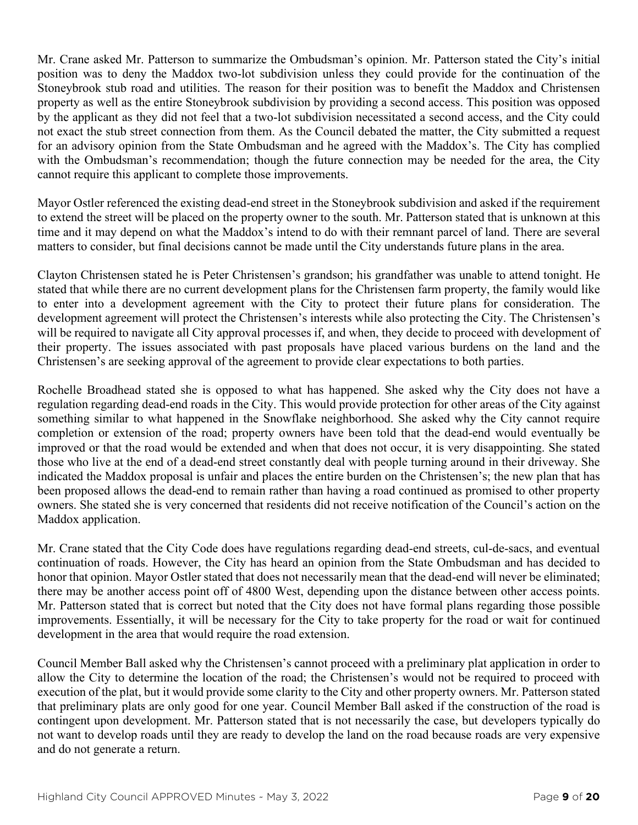Mr. Crane asked Mr. Patterson to summarize the Ombudsman's opinion. Mr. Patterson stated the City's initial position was to deny the Maddox two-lot subdivision unless they could provide for the continuation of the Stoneybrook stub road and utilities. The reason for their position was to benefit the Maddox and Christensen property as well as the entire Stoneybrook subdivision by providing a second access. This position was opposed by the applicant as they did not feel that a two-lot subdivision necessitated a second access, and the City could not exact the stub street connection from them. As the Council debated the matter, the City submitted a request for an advisory opinion from the State Ombudsman and he agreed with the Maddox's. The City has complied with the Ombudsman's recommendation; though the future connection may be needed for the area, the City cannot require this applicant to complete those improvements.

Mayor Ostler referenced the existing dead-end street in the Stoneybrook subdivision and asked if the requirement to extend the street will be placed on the property owner to the south. Mr. Patterson stated that is unknown at this time and it may depend on what the Maddox's intend to do with their remnant parcel of land. There are several matters to consider, but final decisions cannot be made until the City understands future plans in the area.

Clayton Christensen stated he is Peter Christensen's grandson; his grandfather was unable to attend tonight. He stated that while there are no current development plans for the Christensen farm property, the family would like to enter into a development agreement with the City to protect their future plans for consideration. The development agreement will protect the Christensen's interests while also protecting the City. The Christensen's will be required to navigate all City approval processes if, and when, they decide to proceed with development of their property. The issues associated with past proposals have placed various burdens on the land and the Christensen's are seeking approval of the agreement to provide clear expectations to both parties.

Rochelle Broadhead stated she is opposed to what has happened. She asked why the City does not have a regulation regarding dead-end roads in the City. This would provide protection for other areas of the City against something similar to what happened in the Snowflake neighborhood. She asked why the City cannot require completion or extension of the road; property owners have been told that the dead-end would eventually be improved or that the road would be extended and when that does not occur, it is very disappointing. She stated those who live at the end of a dead-end street constantly deal with people turning around in their driveway. She indicated the Maddox proposal is unfair and places the entire burden on the Christensen's; the new plan that has been proposed allows the dead-end to remain rather than having a road continued as promised to other property owners. She stated she is very concerned that residents did not receive notification of the Council's action on the Maddox application.

Mr. Crane stated that the City Code does have regulations regarding dead-end streets, cul-de-sacs, and eventual continuation of roads. However, the City has heard an opinion from the State Ombudsman and has decided to honor that opinion. Mayor Ostler stated that does not necessarily mean that the dead-end will never be eliminated; there may be another access point off of 4800 West, depending upon the distance between other access points. Mr. Patterson stated that is correct but noted that the City does not have formal plans regarding those possible improvements. Essentially, it will be necessary for the City to take property for the road or wait for continued development in the area that would require the road extension.

Council Member Ball asked why the Christensen's cannot proceed with a preliminary plat application in order to allow the City to determine the location of the road; the Christensen's would not be required to proceed with execution of the plat, but it would provide some clarity to the City and other property owners. Mr. Patterson stated that preliminary plats are only good for one year. Council Member Ball asked if the construction of the road is contingent upon development. Mr. Patterson stated that is not necessarily the case, but developers typically do not want to develop roads until they are ready to develop the land on the road because roads are very expensive and do not generate a return.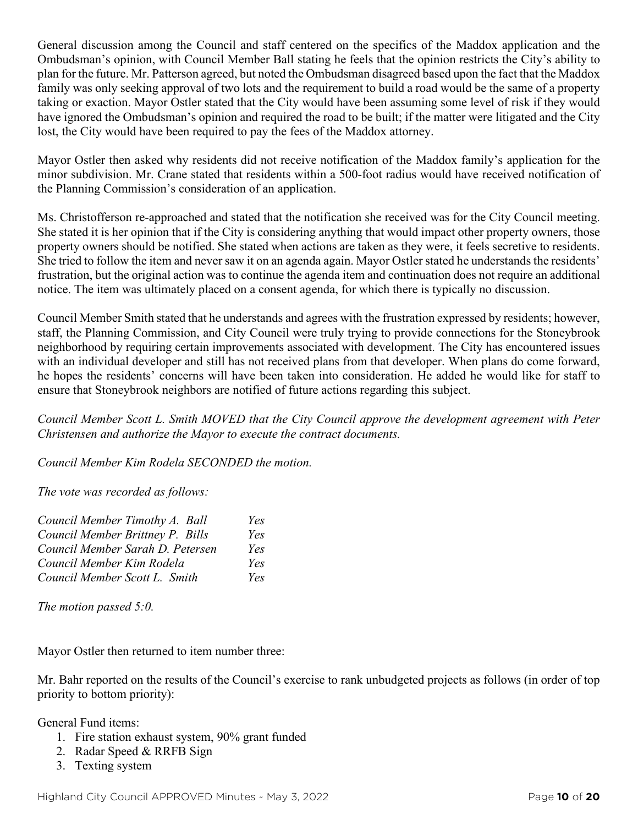General discussion among the Council and staff centered on the specifics of the Maddox application and the Ombudsman's opinion, with Council Member Ball stating he feels that the opinion restricts the City's ability to plan for the future. Mr. Patterson agreed, but noted the Ombudsman disagreed based upon the fact that the Maddox family was only seeking approval of two lots and the requirement to build a road would be the same of a property taking or exaction. Mayor Ostler stated that the City would have been assuming some level of risk if they would have ignored the Ombudsman's opinion and required the road to be built; if the matter were litigated and the City lost, the City would have been required to pay the fees of the Maddox attorney.

Mayor Ostler then asked why residents did not receive notification of the Maddox family's application for the minor subdivision. Mr. Crane stated that residents within a 500-foot radius would have received notification of the Planning Commission's consideration of an application.

Ms. Christofferson re-approached and stated that the notification she received was for the City Council meeting. She stated it is her opinion that if the City is considering anything that would impact other property owners, those property owners should be notified. She stated when actions are taken as they were, it feels secretive to residents. She tried to follow the item and never saw it on an agenda again. Mayor Ostler stated he understands the residents' frustration, but the original action was to continue the agenda item and continuation does not require an additional notice. The item was ultimately placed on a consent agenda, for which there is typically no discussion.

Council Member Smith stated that he understands and agrees with the frustration expressed by residents; however, staff, the Planning Commission, and City Council were truly trying to provide connections for the Stoneybrook neighborhood by requiring certain improvements associated with development. The City has encountered issues with an individual developer and still has not received plans from that developer. When plans do come forward, he hopes the residents' concerns will have been taken into consideration. He added he would like for staff to ensure that Stoneybrook neighbors are notified of future actions regarding this subject.

*Council Member Scott L. Smith MOVED that the City Council approve the development agreement with Peter Christensen and authorize the Mayor to execute the contract documents.*

*Council Member Kim Rodela SECONDED the motion.*

*The vote was recorded as follows:*

| Council Member Timothy A. Ball   | Yes |
|----------------------------------|-----|
| Council Member Brittney P. Bills | Yes |
| Council Member Sarah D. Petersen | Yes |
| Council Member Kim Rodela        | Yes |
| Council Member Scott L. Smith    | Yes |

*The motion passed 5:0.*

Mayor Ostler then returned to item number three:

Mr. Bahr reported on the results of the Council's exercise to rank unbudgeted projects as follows (in order of top priority to bottom priority):

General Fund items:

- 1. Fire station exhaust system, 90% grant funded
- 2. Radar Speed & RRFB Sign
- 3. Texting system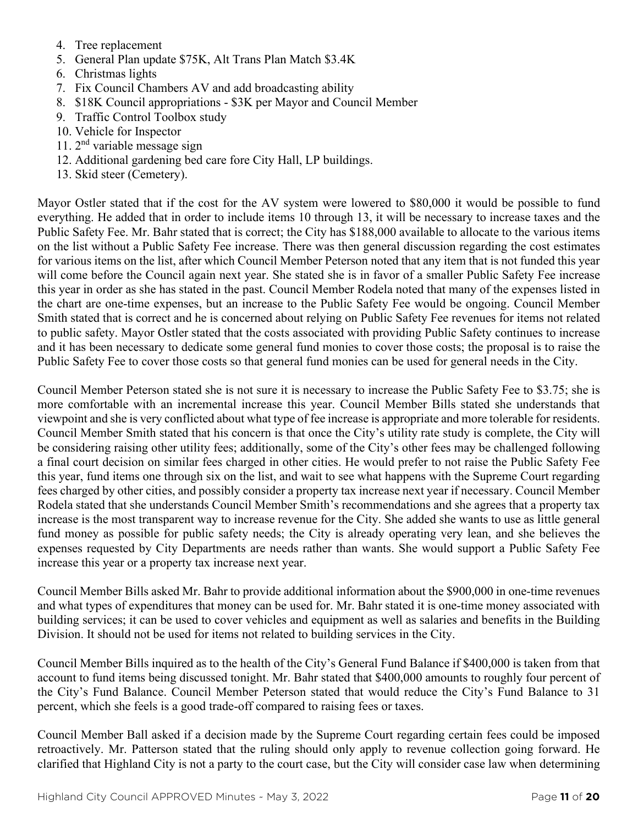- 4. Tree replacement
- 5. General Plan update \$75K, Alt Trans Plan Match \$3.4K
- 6. Christmas lights
- 7. Fix Council Chambers AV and add broadcasting ability
- 8. \$18K Council appropriations \$3K per Mayor and Council Member
- 9. Traffic Control Toolbox study
- 10. Vehicle for Inspector
- 11. 2nd variable message sign
- 12. Additional gardening bed care fore City Hall, LP buildings.
- 13. Skid steer (Cemetery).

Mayor Ostler stated that if the cost for the AV system were lowered to \$80,000 it would be possible to fund everything. He added that in order to include items 10 through 13, it will be necessary to increase taxes and the Public Safety Fee. Mr. Bahr stated that is correct; the City has \$188,000 available to allocate to the various items on the list without a Public Safety Fee increase. There was then general discussion regarding the cost estimates for various items on the list, after which Council Member Peterson noted that any item that is not funded this year will come before the Council again next year. She stated she is in favor of a smaller Public Safety Fee increase this year in order as she has stated in the past. Council Member Rodela noted that many of the expenses listed in the chart are one-time expenses, but an increase to the Public Safety Fee would be ongoing. Council Member Smith stated that is correct and he is concerned about relying on Public Safety Fee revenues for items not related to public safety. Mayor Ostler stated that the costs associated with providing Public Safety continues to increase and it has been necessary to dedicate some general fund monies to cover those costs; the proposal is to raise the Public Safety Fee to cover those costs so that general fund monies can be used for general needs in the City.

Council Member Peterson stated she is not sure it is necessary to increase the Public Safety Fee to \$3.75; she is more comfortable with an incremental increase this year. Council Member Bills stated she understands that viewpoint and she is very conflicted about what type of fee increase is appropriate and more tolerable for residents. Council Member Smith stated that his concern is that once the City's utility rate study is complete, the City will be considering raising other utility fees; additionally, some of the City's other fees may be challenged following a final court decision on similar fees charged in other cities. He would prefer to not raise the Public Safety Fee this year, fund items one through six on the list, and wait to see what happens with the Supreme Court regarding fees charged by other cities, and possibly consider a property tax increase next year if necessary. Council Member Rodela stated that she understands Council Member Smith's recommendations and she agrees that a property tax increase is the most transparent way to increase revenue for the City. She added she wants to use as little general fund money as possible for public safety needs; the City is already operating very lean, and she believes the expenses requested by City Departments are needs rather than wants. She would support a Public Safety Fee increase this year or a property tax increase next year.

Council Member Bills asked Mr. Bahr to provide additional information about the \$900,000 in one-time revenues and what types of expenditures that money can be used for. Mr. Bahr stated it is one-time money associated with building services; it can be used to cover vehicles and equipment as well as salaries and benefits in the Building Division. It should not be used for items not related to building services in the City.

Council Member Bills inquired as to the health of the City's General Fund Balance if \$400,000 is taken from that account to fund items being discussed tonight. Mr. Bahr stated that \$400,000 amounts to roughly four percent of the City's Fund Balance. Council Member Peterson stated that would reduce the City's Fund Balance to 31 percent, which she feels is a good trade-off compared to raising fees or taxes.

Council Member Ball asked if a decision made by the Supreme Court regarding certain fees could be imposed retroactively. Mr. Patterson stated that the ruling should only apply to revenue collection going forward. He clarified that Highland City is not a party to the court case, but the City will consider case law when determining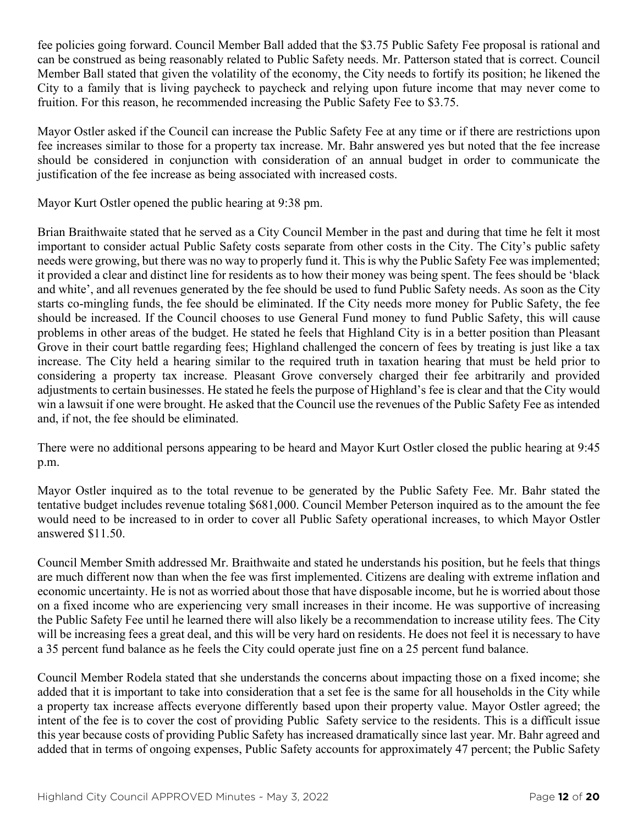fee policies going forward. Council Member Ball added that the \$3.75 Public Safety Fee proposal is rational and can be construed as being reasonably related to Public Safety needs. Mr. Patterson stated that is correct. Council Member Ball stated that given the volatility of the economy, the City needs to fortify its position; he likened the City to a family that is living paycheck to paycheck and relying upon future income that may never come to fruition. For this reason, he recommended increasing the Public Safety Fee to \$3.75.

Mayor Ostler asked if the Council can increase the Public Safety Fee at any time or if there are restrictions upon fee increases similar to those for a property tax increase. Mr. Bahr answered yes but noted that the fee increase should be considered in conjunction with consideration of an annual budget in order to communicate the justification of the fee increase as being associated with increased costs.

Mayor Kurt Ostler opened the public hearing at 9:38 pm.

Brian Braithwaite stated that he served as a City Council Member in the past and during that time he felt it most important to consider actual Public Safety costs separate from other costs in the City. The City's public safety needs were growing, but there was no way to properly fund it. This is why the Public Safety Fee was implemented; it provided a clear and distinct line for residents as to how their money was being spent. The fees should be 'black and white', and all revenues generated by the fee should be used to fund Public Safety needs. As soon as the City starts co-mingling funds, the fee should be eliminated. If the City needs more money for Public Safety, the fee should be increased. If the Council chooses to use General Fund money to fund Public Safety, this will cause problems in other areas of the budget. He stated he feels that Highland City is in a better position than Pleasant Grove in their court battle regarding fees; Highland challenged the concern of fees by treating is just like a tax increase. The City held a hearing similar to the required truth in taxation hearing that must be held prior to considering a property tax increase. Pleasant Grove conversely charged their fee arbitrarily and provided adjustments to certain businesses. He stated he feels the purpose of Highland's fee is clear and that the City would win a lawsuit if one were brought. He asked that the Council use the revenues of the Public Safety Fee as intended and, if not, the fee should be eliminated.

There were no additional persons appearing to be heard and Mayor Kurt Ostler closed the public hearing at 9:45 p.m.

Mayor Ostler inquired as to the total revenue to be generated by the Public Safety Fee. Mr. Bahr stated the tentative budget includes revenue totaling \$681,000. Council Member Peterson inquired as to the amount the fee would need to be increased to in order to cover all Public Safety operational increases, to which Mayor Ostler answered \$11.50.

Council Member Smith addressed Mr. Braithwaite and stated he understands his position, but he feels that things are much different now than when the fee was first implemented. Citizens are dealing with extreme inflation and economic uncertainty. He is not as worried about those that have disposable income, but he is worried about those on a fixed income who are experiencing very small increases in their income. He was supportive of increasing the Public Safety Fee until he learned there will also likely be a recommendation to increase utility fees. The City will be increasing fees a great deal, and this will be very hard on residents. He does not feel it is necessary to have a 35 percent fund balance as he feels the City could operate just fine on a 25 percent fund balance.

Council Member Rodela stated that she understands the concerns about impacting those on a fixed income; she added that it is important to take into consideration that a set fee is the same for all households in the City while a property tax increase affects everyone differently based upon their property value. Mayor Ostler agreed; the intent of the fee is to cover the cost of providing Public Safety service to the residents. This is a difficult issue this year because costs of providing Public Safety has increased dramatically since last year. Mr. Bahr agreed and added that in terms of ongoing expenses, Public Safety accounts for approximately 47 percent; the Public Safety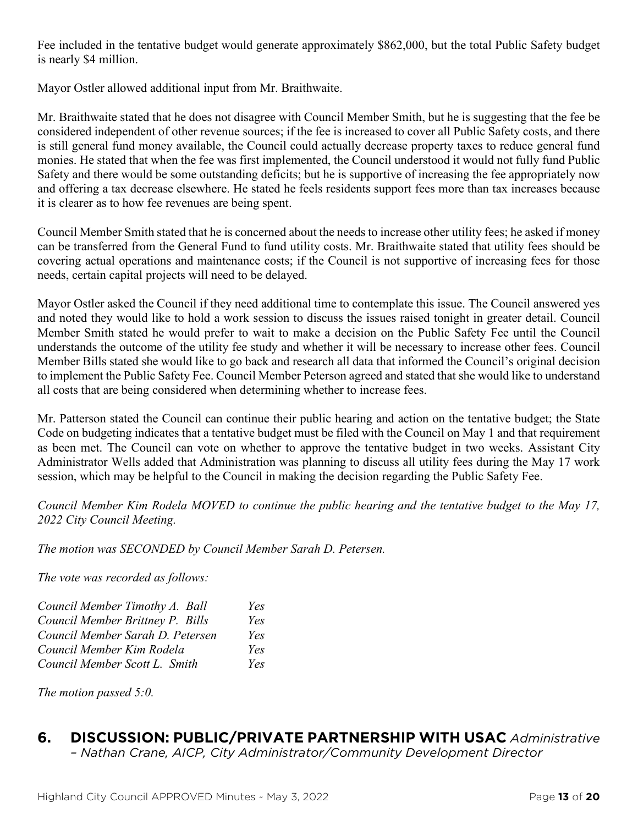Fee included in the tentative budget would generate approximately \$862,000, but the total Public Safety budget is nearly \$4 million.

Mayor Ostler allowed additional input from Mr. Braithwaite.

Mr. Braithwaite stated that he does not disagree with Council Member Smith, but he is suggesting that the fee be considered independent of other revenue sources; if the fee is increased to cover all Public Safety costs, and there is still general fund money available, the Council could actually decrease property taxes to reduce general fund monies. He stated that when the fee was first implemented, the Council understood it would not fully fund Public Safety and there would be some outstanding deficits; but he is supportive of increasing the fee appropriately now and offering a tax decrease elsewhere. He stated he feels residents support fees more than tax increases because it is clearer as to how fee revenues are being spent.

Council Member Smith stated that he is concerned about the needs to increase other utility fees; he asked if money can be transferred from the General Fund to fund utility costs. Mr. Braithwaite stated that utility fees should be covering actual operations and maintenance costs; if the Council is not supportive of increasing fees for those needs, certain capital projects will need to be delayed.

Mayor Ostler asked the Council if they need additional time to contemplate this issue. The Council answered yes and noted they would like to hold a work session to discuss the issues raised tonight in greater detail. Council Member Smith stated he would prefer to wait to make a decision on the Public Safety Fee until the Council understands the outcome of the utility fee study and whether it will be necessary to increase other fees. Council Member Bills stated she would like to go back and research all data that informed the Council's original decision to implement the Public Safety Fee. Council Member Peterson agreed and stated that she would like to understand all costs that are being considered when determining whether to increase fees.

Mr. Patterson stated the Council can continue their public hearing and action on the tentative budget; the State Code on budgeting indicates that a tentative budget must be filed with the Council on May 1 and that requirement as been met. The Council can vote on whether to approve the tentative budget in two weeks. Assistant City Administrator Wells added that Administration was planning to discuss all utility fees during the May 17 work session, which may be helpful to the Council in making the decision regarding the Public Safety Fee.

*Council Member Kim Rodela MOVED to continue the public hearing and the tentative budget to the May 17, 2022 City Council Meeting.*

*The motion was SECONDED by Council Member Sarah D. Petersen.*

*The vote was recorded as follows:*

| Council Member Timothy A. Ball   | Yes  |
|----------------------------------|------|
| Council Member Brittney P. Bills | Yes  |
| Council Member Sarah D. Petersen | Yes  |
| Council Member Kim Rodela        | Yes  |
| Council Member Scott L. Smith    | Yes. |

*The motion passed 5:0.*

# **6. DISCUSSION: PUBLIC/PRIVATE PARTNERSHIP WITH USAC** *Administrative*

*– Nathan Crane, AICP, City Administrator/Community Development Director*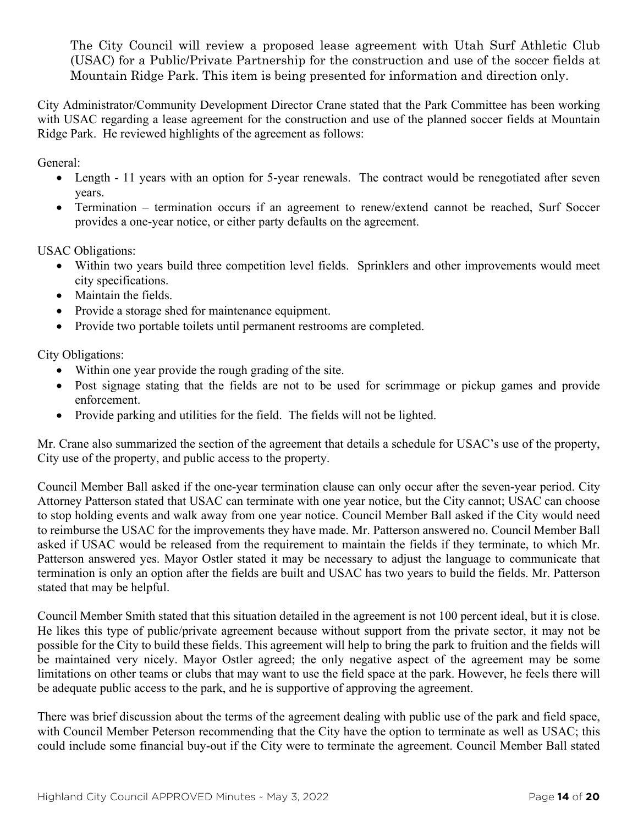The City Council will review a proposed lease agreement with Utah Surf Athletic Club (USAC) for a Public/Private Partnership for the construction and use of the soccer fields at Mountain Ridge Park. This item is being presented for information and direction only.

City Administrator/Community Development Director Crane stated that the Park Committee has been working with USAC regarding a lease agreement for the construction and use of the planned soccer fields at Mountain Ridge Park. He reviewed highlights of the agreement as follows:

General:

- Length 11 years with an option for 5-year renewals. The contract would be renegotiated after seven years.
- Termination termination occurs if an agreement to renew/extend cannot be reached, Surf Soccer provides a one-year notice, or either party defaults on the agreement.

USAC Obligations:

- Within two years build three competition level fields. Sprinklers and other improvements would meet city specifications.
- Maintain the fields.
- Provide a storage shed for maintenance equipment.
- Provide two portable toilets until permanent restrooms are completed.

City Obligations:

- Within one year provide the rough grading of the site.
- Post signage stating that the fields are not to be used for scrimmage or pickup games and provide enforcement.
- Provide parking and utilities for the field. The fields will not be lighted.

Mr. Crane also summarized the section of the agreement that details a schedule for USAC's use of the property, City use of the property, and public access to the property.

Council Member Ball asked if the one-year termination clause can only occur after the seven-year period. City Attorney Patterson stated that USAC can terminate with one year notice, but the City cannot; USAC can choose to stop holding events and walk away from one year notice. Council Member Ball asked if the City would need to reimburse the USAC for the improvements they have made. Mr. Patterson answered no. Council Member Ball asked if USAC would be released from the requirement to maintain the fields if they terminate, to which Mr. Patterson answered yes. Mayor Ostler stated it may be necessary to adjust the language to communicate that termination is only an option after the fields are built and USAC has two years to build the fields. Mr. Patterson stated that may be helpful.

Council Member Smith stated that this situation detailed in the agreement is not 100 percent ideal, but it is close. He likes this type of public/private agreement because without support from the private sector, it may not be possible for the City to build these fields. This agreement will help to bring the park to fruition and the fields will be maintained very nicely. Mayor Ostler agreed; the only negative aspect of the agreement may be some limitations on other teams or clubs that may want to use the field space at the park. However, he feels there will be adequate public access to the park, and he is supportive of approving the agreement.

There was brief discussion about the terms of the agreement dealing with public use of the park and field space, with Council Member Peterson recommending that the City have the option to terminate as well as USAC; this could include some financial buy-out if the City were to terminate the agreement. Council Member Ball stated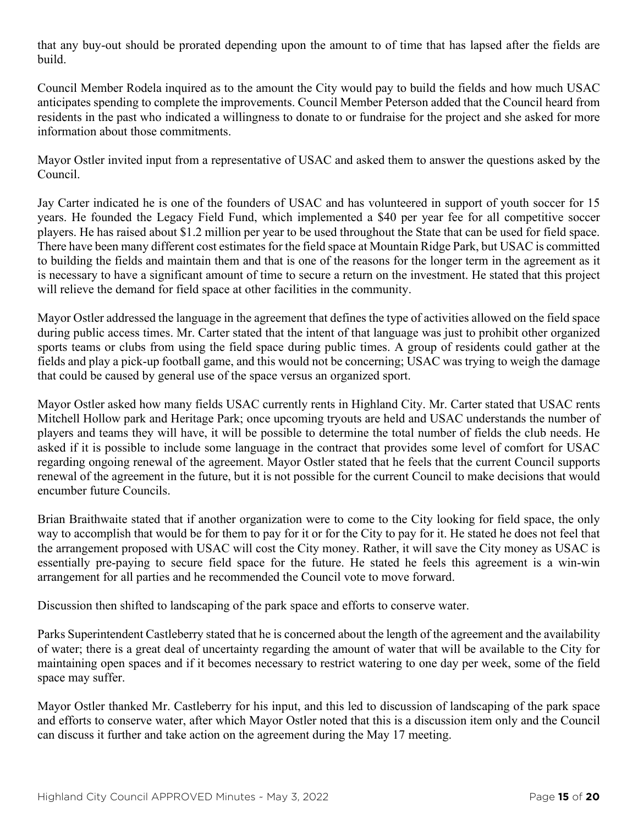that any buy-out should be prorated depending upon the amount to of time that has lapsed after the fields are build.

Council Member Rodela inquired as to the amount the City would pay to build the fields and how much USAC anticipates spending to complete the improvements. Council Member Peterson added that the Council heard from residents in the past who indicated a willingness to donate to or fundraise for the project and she asked for more information about those commitments.

Mayor Ostler invited input from a representative of USAC and asked them to answer the questions asked by the Council.

Jay Carter indicated he is one of the founders of USAC and has volunteered in support of youth soccer for 15 years. He founded the Legacy Field Fund, which implemented a \$40 per year fee for all competitive soccer players. He has raised about \$1.2 million per year to be used throughout the State that can be used for field space. There have been many different cost estimates for the field space at Mountain Ridge Park, but USAC is committed to building the fields and maintain them and that is one of the reasons for the longer term in the agreement as it is necessary to have a significant amount of time to secure a return on the investment. He stated that this project will relieve the demand for field space at other facilities in the community.

Mayor Ostler addressed the language in the agreement that defines the type of activities allowed on the field space during public access times. Mr. Carter stated that the intent of that language was just to prohibit other organized sports teams or clubs from using the field space during public times. A group of residents could gather at the fields and play a pick-up football game, and this would not be concerning; USAC was trying to weigh the damage that could be caused by general use of the space versus an organized sport.

Mayor Ostler asked how many fields USAC currently rents in Highland City. Mr. Carter stated that USAC rents Mitchell Hollow park and Heritage Park; once upcoming tryouts are held and USAC understands the number of players and teams they will have, it will be possible to determine the total number of fields the club needs. He asked if it is possible to include some language in the contract that provides some level of comfort for USAC regarding ongoing renewal of the agreement. Mayor Ostler stated that he feels that the current Council supports renewal of the agreement in the future, but it is not possible for the current Council to make decisions that would encumber future Councils.

Brian Braithwaite stated that if another organization were to come to the City looking for field space, the only way to accomplish that would be for them to pay for it or for the City to pay for it. He stated he does not feel that the arrangement proposed with USAC will cost the City money. Rather, it will save the City money as USAC is essentially pre-paying to secure field space for the future. He stated he feels this agreement is a win-win arrangement for all parties and he recommended the Council vote to move forward.

Discussion then shifted to landscaping of the park space and efforts to conserve water.

Parks Superintendent Castleberry stated that he is concerned about the length of the agreement and the availability of water; there is a great deal of uncertainty regarding the amount of water that will be available to the City for maintaining open spaces and if it becomes necessary to restrict watering to one day per week, some of the field space may suffer.

Mayor Ostler thanked Mr. Castleberry for his input, and this led to discussion of landscaping of the park space and efforts to conserve water, after which Mayor Ostler noted that this is a discussion item only and the Council can discuss it further and take action on the agreement during the May 17 meeting.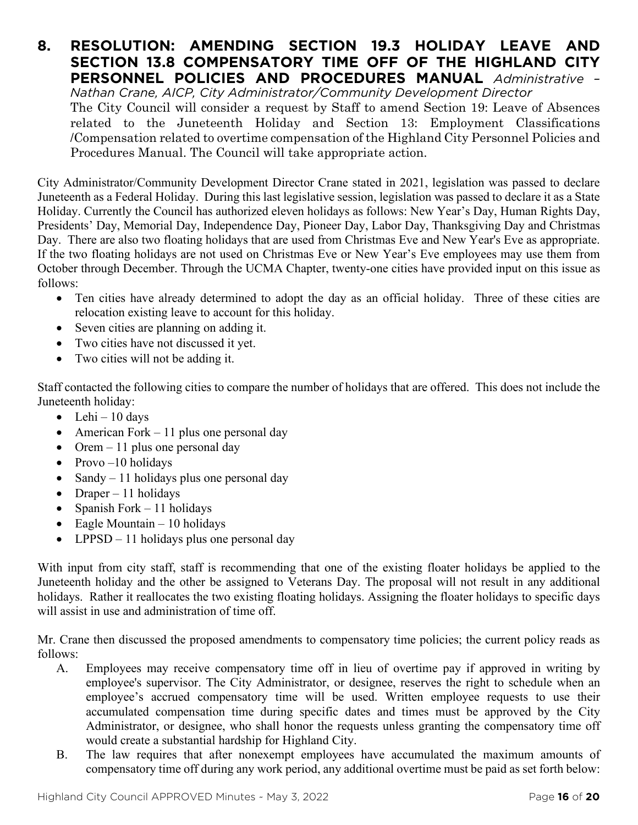#### **8. RESOLUTION: AMENDING SECTION 19.3 HOLIDAY LEAVE AND SECTION 13.8 COMPENSATORY TIME OFF OF THE HIGHLAND CITY PERSONNEL POLICIES AND PROCEDURES MANUAL** *Administrative – Nathan Crane, AICP, City Administrator/Community Development Director*

The City Council will consider a request by Staff to amend Section 19: Leave of Absences related to the Juneteenth Holiday and Section 13: Employment Classifications /Compensation related to overtime compensation of the Highland City Personnel Policies and Procedures Manual. The Council will take appropriate action.

City Administrator/Community Development Director Crane stated in 2021, legislation was passed to declare Juneteenth as a Federal Holiday. During this last legislative session, legislation was passed to declare it as a State Holiday. Currently the Council has authorized eleven holidays as follows: New Year's Day, Human Rights Day, Presidents' Day, Memorial Day, Independence Day, Pioneer Day, Labor Day, Thanksgiving Day and Christmas Day. There are also two floating holidays that are used from Christmas Eve and New Year's Eve as appropriate. If the two floating holidays are not used on Christmas Eve or New Year's Eve employees may use them from October through December. Through the UCMA Chapter, twenty-one cities have provided input on this issue as follows:

- Ten cities have already determined to adopt the day as an official holiday. Three of these cities are relocation existing leave to account for this holiday.
- Seven cities are planning on adding it.
- Two cities have not discussed it yet.
- Two cities will not be adding it.

Staff contacted the following cities to compare the number of holidays that are offered. This does not include the Juneteenth holiday:

- Lehi 10 days
- American Fork 11 plus one personal day
- Orem  $-11$  plus one personal day
- Provo $-10$  holidays
- Sandy  $-11$  holidays plus one personal day
- Draper 11 holidays
- Spanish Fork 11 holidays
- Eagle Mountain 10 holidays
- LPPSD 11 holidays plus one personal day

With input from city staff, staff is recommending that one of the existing floater holidays be applied to the Juneteenth holiday and the other be assigned to Veterans Day. The proposal will not result in any additional holidays. Rather it reallocates the two existing floating holidays. Assigning the floater holidays to specific days will assist in use and administration of time off.

Mr. Crane then discussed the proposed amendments to compensatory time policies; the current policy reads as follows:

- A. Employees may receive compensatory time off in lieu of overtime pay if approved in writing by employee's supervisor. The City Administrator, or designee, reserves the right to schedule when an employee's accrued compensatory time will be used. Written employee requests to use their accumulated compensation time during specific dates and times must be approved by the City Administrator, or designee, who shall honor the requests unless granting the compensatory time off would create a substantial hardship for Highland City.
- B. The law requires that after nonexempt employees have accumulated the maximum amounts of compensatory time off during any work period, any additional overtime must be paid as set forth below: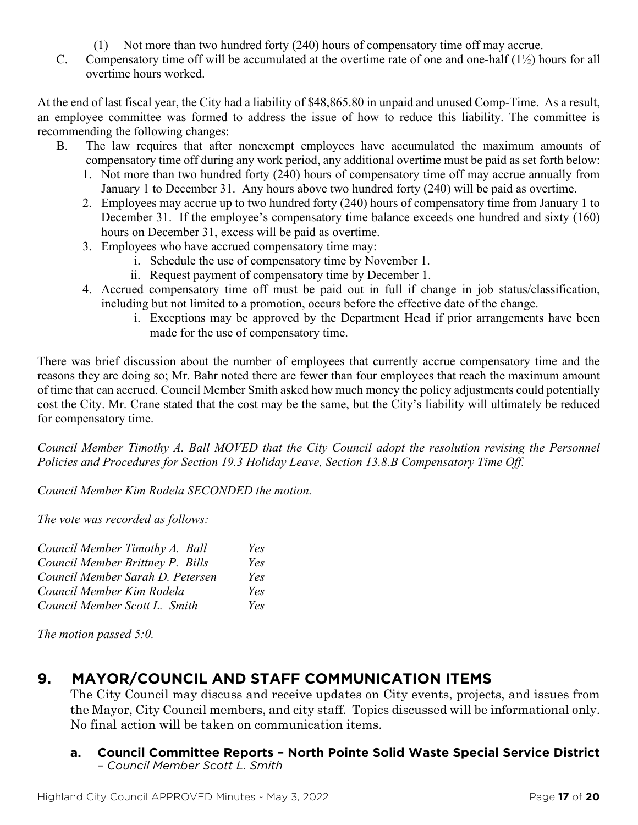- (1) Not more than two hundred forty (240) hours of compensatory time off may accrue.
- C. Compensatory time off will be accumulated at the overtime rate of one and one-half (1½) hours for all overtime hours worked.

At the end of last fiscal year, the City had a liability of \$48,865.80 in unpaid and unused Comp-Time. As a result, an employee committee was formed to address the issue of how to reduce this liability. The committee is recommending the following changes:

- B. The law requires that after nonexempt employees have accumulated the maximum amounts of compensatory time off during any work period, any additional overtime must be paid as set forth below:
	- 1. Not more than two hundred forty (240) hours of compensatory time off may accrue annually from January 1 to December 31. Any hours above two hundred forty (240) will be paid as overtime.
	- 2. Employees may accrue up to two hundred forty (240) hours of compensatory time from January 1 to December 31. If the employee's compensatory time balance exceeds one hundred and sixty (160) hours on December 31, excess will be paid as overtime.
	- 3. Employees who have accrued compensatory time may:
		- i. Schedule the use of compensatory time by November 1.
		- ii. Request payment of compensatory time by December 1.
	- 4. Accrued compensatory time off must be paid out in full if change in job status/classification, including but not limited to a promotion, occurs before the effective date of the change.
		- i. Exceptions may be approved by the Department Head if prior arrangements have been made for the use of compensatory time.

There was brief discussion about the number of employees that currently accrue compensatory time and the reasons they are doing so; Mr. Bahr noted there are fewer than four employees that reach the maximum amount of time that can accrued. Council Member Smith asked how much money the policy adjustments could potentially cost the City. Mr. Crane stated that the cost may be the same, but the City's liability will ultimately be reduced for compensatory time.

*Council Member Timothy A. Ball MOVED that the City Council adopt the resolution revising the Personnel Policies and Procedures for Section 19.3 Holiday Leave, Section 13.8.B Compensatory Time Off.*

*Council Member Kim Rodela SECONDED the motion.*

*The vote was recorded as follows:*

| Council Member Timothy A. Ball   | Yes |
|----------------------------------|-----|
| Council Member Brittney P. Bills | Yes |
| Council Member Sarah D. Petersen | Yes |
| Council Member Kim Rodela        | Yes |
| Council Member Scott L. Smith    | Yes |

*The motion passed 5:0.*

# **9. MAYOR/COUNCIL AND STAFF COMMUNICATION ITEMS**

The City Council may discuss and receive updates on City events, projects, and issues from the Mayor, City Council members, and city staff. Topics discussed will be informational only. No final action will be taken on communication items.

#### **a. Council Committee Reports – North Pointe Solid Waste Special Service District** *– Council Member Scott L. Smith*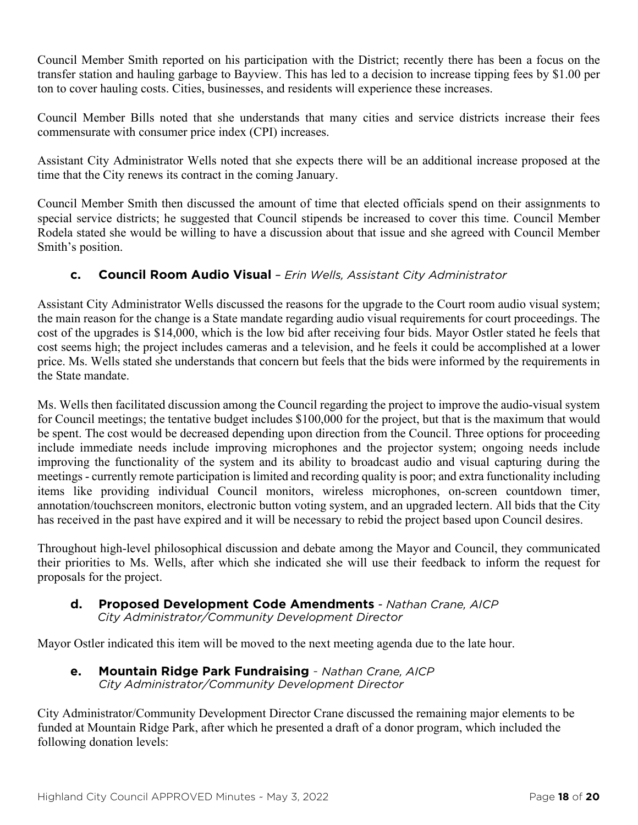Council Member Smith reported on his participation with the District; recently there has been a focus on the transfer station and hauling garbage to Bayview. This has led to a decision to increase tipping fees by \$1.00 per ton to cover hauling costs. Cities, businesses, and residents will experience these increases.

Council Member Bills noted that she understands that many cities and service districts increase their fees commensurate with consumer price index (CPI) increases.

Assistant City Administrator Wells noted that she expects there will be an additional increase proposed at the time that the City renews its contract in the coming January.

Council Member Smith then discussed the amount of time that elected officials spend on their assignments to special service districts; he suggested that Council stipends be increased to cover this time. Council Member Rodela stated she would be willing to have a discussion about that issue and she agreed with Council Member Smith's position.

#### **c. Council Room Audio Visual** *– Erin Wells, Assistant City Administrator*

Assistant City Administrator Wells discussed the reasons for the upgrade to the Court room audio visual system; the main reason for the change is a State mandate regarding audio visual requirements for court proceedings. The cost of the upgrades is \$14,000, which is the low bid after receiving four bids. Mayor Ostler stated he feels that cost seems high; the project includes cameras and a television, and he feels it could be accomplished at a lower price. Ms. Wells stated she understands that concern but feels that the bids were informed by the requirements in the State mandate.

Ms. Wells then facilitated discussion among the Council regarding the project to improve the audio-visual system for Council meetings; the tentative budget includes \$100,000 for the project, but that is the maximum that would be spent. The cost would be decreased depending upon direction from the Council. Three options for proceeding include immediate needs include improving microphones and the projector system; ongoing needs include improving the functionality of the system and its ability to broadcast audio and visual capturing during the meetings - currently remote participation is limited and recording quality is poor; and extra functionality including items like providing individual Council monitors, wireless microphones, on-screen countdown timer, annotation/touchscreen monitors, electronic button voting system, and an upgraded lectern. All bids that the City has received in the past have expired and it will be necessary to rebid the project based upon Council desires.

Throughout high-level philosophical discussion and debate among the Mayor and Council, they communicated their priorities to Ms. Wells, after which she indicated she will use their feedback to inform the request for proposals for the project.

#### **d. Proposed Development Code Amendments** *- Nathan Crane, AICP City Administrator/Community Development Director*

Mayor Ostler indicated this item will be moved to the next meeting agenda due to the late hour.

**e. Mountain Ridge Park Fundraising** - *Nathan Crane, AICP City Administrator/Community Development Director*

City Administrator/Community Development Director Crane discussed the remaining major elements to be funded at Mountain Ridge Park, after which he presented a draft of a donor program, which included the following donation levels: